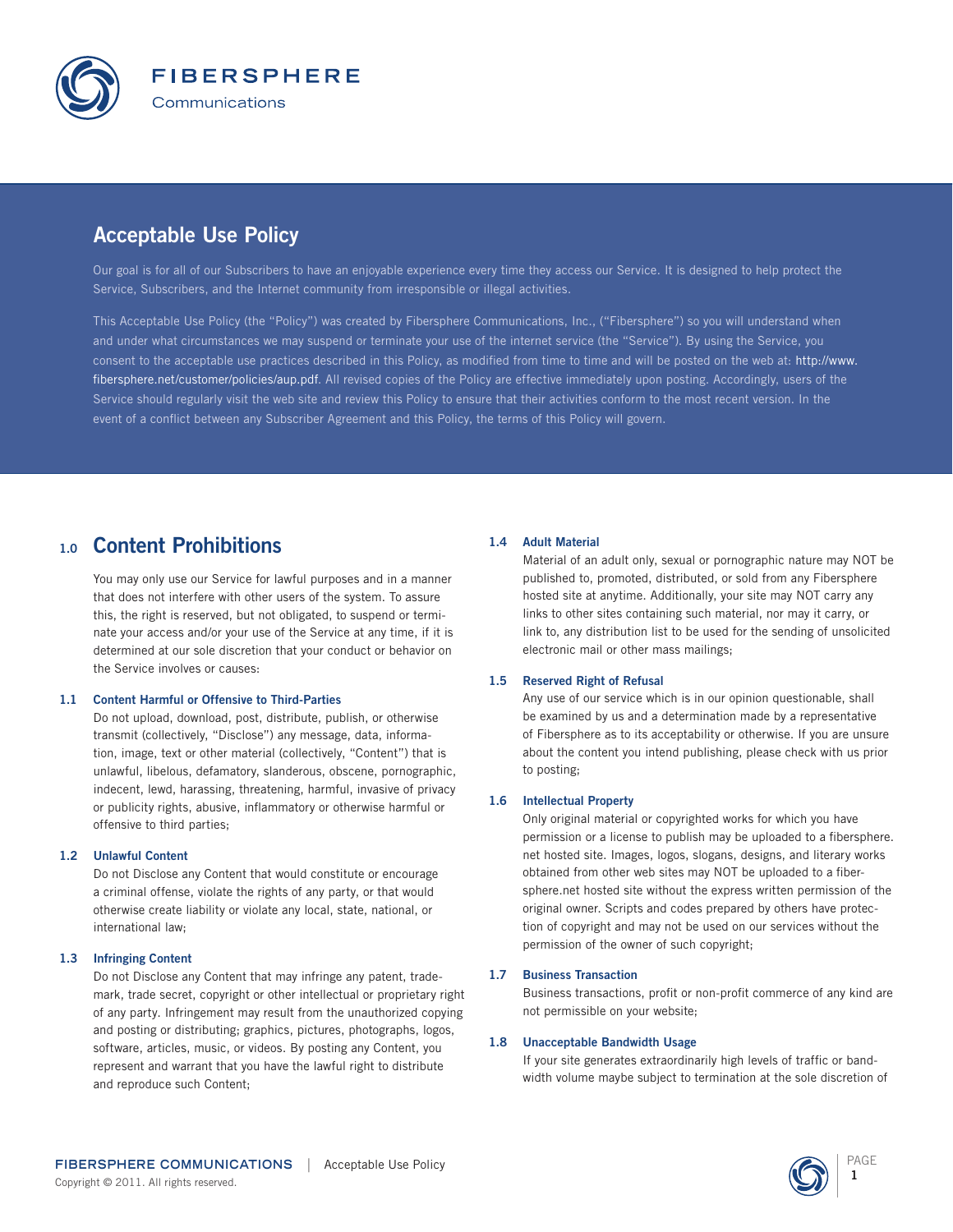

# Acceptable Use Policy

Our goal is for all of our Subscribers to have an enjoyable experience every time they access our Service. It is designed to help protect the Service, Subscribers, and the Internet community from irresponsible or illegal activities.

This Acceptable Use Policy (the "Policy") was created by Fibersphere Communications, Inc., ("Fibersphere") so you will understand when and under what circumstances we may suspend or terminate your use of the internet service (the "Service"). By using the Service, you consent to the acceptable use practices described in this Policy, as modified from time to time and will be posted on the web at: http://www. fibersphere.net/customer/policies/aup.pdf. All revised copies of the Policy are effective immediately upon posting. Accordingly, users of the Service should regularly visit the web site and review this Policy to ensure that their activities conform to the most recent version. In the event of a conflict between any Subscriber Agreement and this Policy, the terms of this Policy will govern.

## 1.0 Content Prohibitions

You may only use our Service for lawful purposes and in a manner that does not interfere with other users of the system. To assure this, the right is reserved, but not obligated, to suspend or terminate your access and/or your use of the Service at any time, if it is determined at our sole discretion that your conduct or behavior on the Service involves or causes:

### 1.1 Content Harmful or Offensive to Third-Parties

Do not upload, download, post, distribute, publish, or otherwise transmit (collectively, "Disclose") any message, data, information, image, text or other material (collectively, "Content") that is unlawful, libelous, defamatory, slanderous, obscene, pornographic, indecent, lewd, harassing, threatening, harmful, invasive of privacy or publicity rights, abusive, inflammatory or otherwise harmful or offensive to third parties;

### 1.2 Unlawful Content

Do not Disclose any Content that would constitute or encourage a criminal offense, violate the rights of any party, or that would otherwise create liability or violate any local, state, national, or international law;

### 1.3 Infringing Content

Do not Disclose any Content that may infringe any patent, trademark, trade secret, copyright or other intellectual or proprietary right of any party. Infringement may result from the unauthorized copying and posting or distributing; graphics, pictures, photographs, logos, software, articles, music, or videos. By posting any Content, you represent and warrant that you have the lawful right to distribute and reproduce such Content;

### 1.4 Adult Material

Material of an adult only, sexual or pornographic nature may NOT be published to, promoted, distributed, or sold from any Fibersphere hosted site at anytime. Additionally, your site may NOT carry any links to other sites containing such material, nor may it carry, or link to, any distribution list to be used for the sending of unsolicited electronic mail or other mass mailings;

### 1.5 Reserved Right of Refusal

Any use of our service which is in our opinion questionable, shall be examined by us and a determination made by a representative of Fibersphere as to its acceptability or otherwise. If you are unsure about the content you intend publishing, please check with us prior to posting;

#### 1.6 Intellectual Property

Only original material or copyrighted works for which you have permission or a license to publish may be uploaded to a fibersphere. net hosted site. Images, logos, slogans, designs, and literary works obtained from other web sites may NOT be uploaded to a fibersphere.net hosted site without the express written permission of the original owner. Scripts and codes prepared by others have protection of copyright and may not be used on our services without the permission of the owner of such copyright;

#### 1.7 Business Transaction

Business transactions, profit or non-profit commerce of any kind are not permissible on your website;

#### 1.8 Unacceptable Bandwidth Usage

If your site generates extraordinarily high levels of traffic or bandwidth volume maybe subject to termination at the sole discretion of

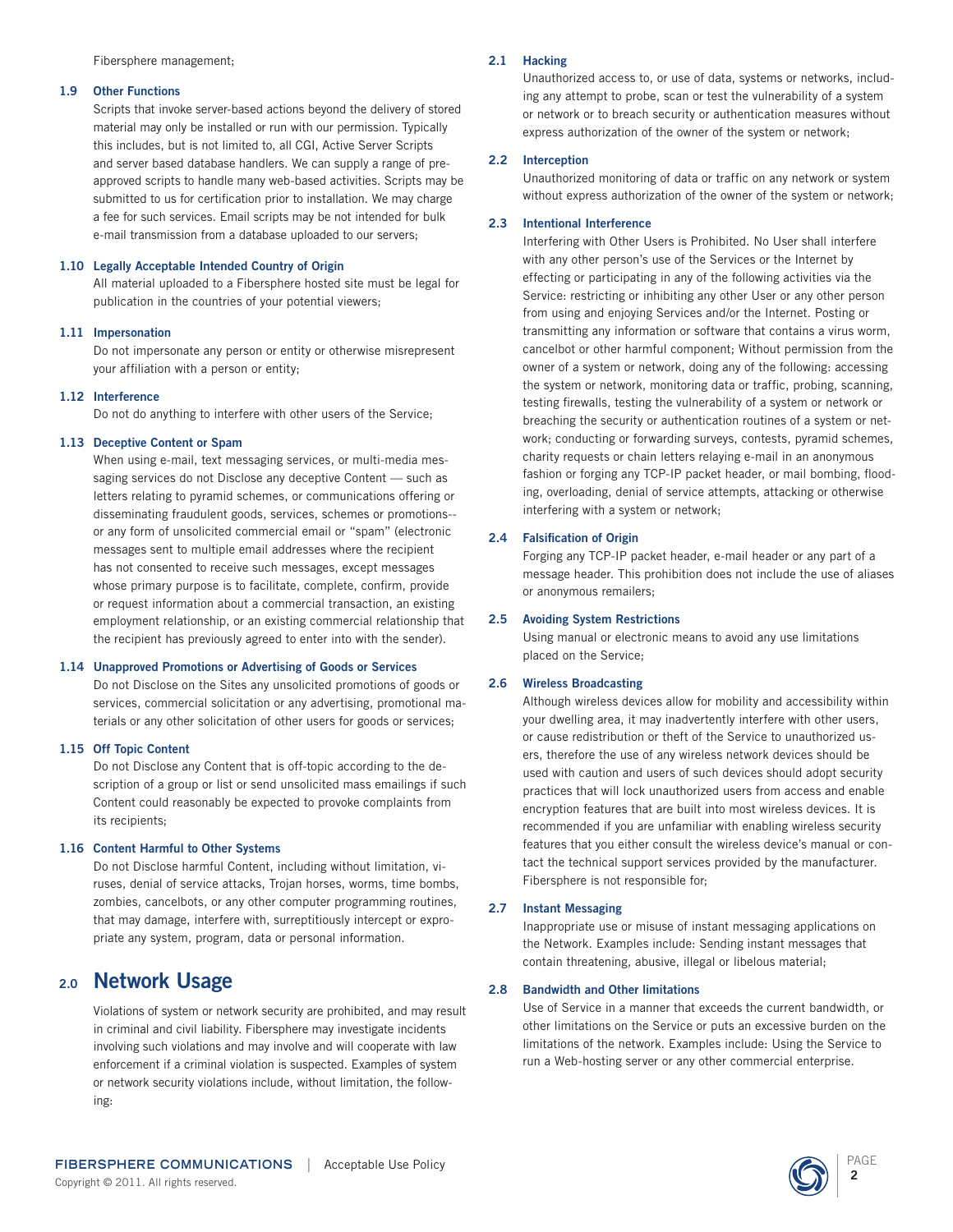Fibersphere management;

#### 1.9 Other Functions

Scripts that invoke server-based actions beyond the delivery of stored material may only be installed or run with our permission. Typically this includes, but is not limited to, all CGI, Active Server Scripts and server based database handlers. We can supply a range of preapproved scripts to handle many web-based activities. Scripts may be submitted to us for certification prior to installation. We may charge a fee for such services. Email scripts may be not intended for bulk e-mail transmission from a database uploaded to our servers;

### 1.10 Legally Acceptable Intended Country of Origin

All material uploaded to a Fibersphere hosted site must be legal for publication in the countries of your potential viewers;

### 1.11 Impersonation

Do not impersonate any person or entity or otherwise misrepresent your affiliation with a person or entity;

### 1.12 Interference

Do not do anything to interfere with other users of the Service;

### 1.13 Deceptive Content or Spam

When using e-mail, text messaging services, or multi-media messaging services do not Disclose any deceptive Content — such as letters relating to pyramid schemes, or communications offering or disseminating fraudulent goods, services, schemes or promotions- or any form of unsolicited commercial email or "spam" (electronic messages sent to multiple email addresses where the recipient has not consented to receive such messages, except messages whose primary purpose is to facilitate, complete, confirm, provide or request information about a commercial transaction, an existing employment relationship, or an existing commercial relationship that the recipient has previously agreed to enter into with the sender).

### 1.14 Unapproved Promotions or Advertising of Goods or Services

Do not Disclose on the Sites any unsolicited promotions of goods or services, commercial solicitation or any advertising, promotional materials or any other solicitation of other users for goods or services;

### 1.15 Off Topic Content

Do not Disclose any Content that is off-topic according to the description of a group or list or send unsolicited mass emailings if such Content could reasonably be expected to provoke complaints from its recipients;

### 1.16 Content Harmful to Other Systems

Do not Disclose harmful Content, including without limitation, viruses, denial of service attacks, Trojan horses, worms, time bombs, zombies, cancelbots, or any other computer programming routines, that may damage, interfere with, surreptitiously intercept or expropriate any system, program, data or personal information.

## 2.0 Network Usage

Violations of system or network security are prohibited, and may result in criminal and civil liability. Fibersphere may investigate incidents involving such violations and may involve and will cooperate with law enforcement if a criminal violation is suspected. Examples of system or network security violations include, without limitation, the following:

### 2.1 Hacking

Unauthorized access to, or use of data, systems or networks, including any attempt to probe, scan or test the vulnerability of a system or network or to breach security or authentication measures without express authorization of the owner of the system or network;

### 2.2 Interception

Unauthorized monitoring of data or traffic on any network or system without express authorization of the owner of the system or network;

### 2.3 Intentional Interference

Interfering with Other Users is Prohibited. No User shall interfere with any other person's use of the Services or the Internet by effecting or participating in any of the following activities via the Service: restricting or inhibiting any other User or any other person from using and enjoying Services and/or the Internet. Posting or transmitting any information or software that contains a virus worm, cancelbot or other harmful component; Without permission from the owner of a system or network, doing any of the following: accessing the system or network, monitoring data or traffic, probing, scanning, testing firewalls, testing the vulnerability of a system or network or breaching the security or authentication routines of a system or network; conducting or forwarding surveys, contests, pyramid schemes, charity requests or chain letters relaying e-mail in an anonymous fashion or forging any TCP-IP packet header, or mail bombing, flooding, overloading, denial of service attempts, attacking or otherwise interfering with a system or network;

### 2.4 Falsification of Origin

Forging any TCP-IP packet header, e-mail header or any part of a message header. This prohibition does not include the use of aliases or anonymous remailers;

### 2.5 Avoiding System Restrictions

Using manual or electronic means to avoid any use limitations placed on the Service;

### 2.6 Wireless Broadcasting

Although wireless devices allow for mobility and accessibility within your dwelling area, it may inadvertently interfere with other users, or cause redistribution or theft of the Service to unauthorized users, therefore the use of any wireless network devices should be used with caution and users of such devices should adopt security practices that will lock unauthorized users from access and enable encryption features that are built into most wireless devices. It is recommended if you are unfamiliar with enabling wireless security features that you either consult the wireless device's manual or contact the technical support services provided by the manufacturer. Fibersphere is not responsible for;

### 2.7 Instant Messaging

Inappropriate use or misuse of instant messaging applications on the Network. Examples include: Sending instant messages that contain threatening, abusive, illegal or libelous material;

### 2.8 Bandwidth and Other limitations

Use of Service in a manner that exceeds the current bandwidth, or other limitations on the Service or puts an excessive burden on the limitations of the network. Examples include: Using the Service to run a Web-hosting server or any other commercial enterprise.